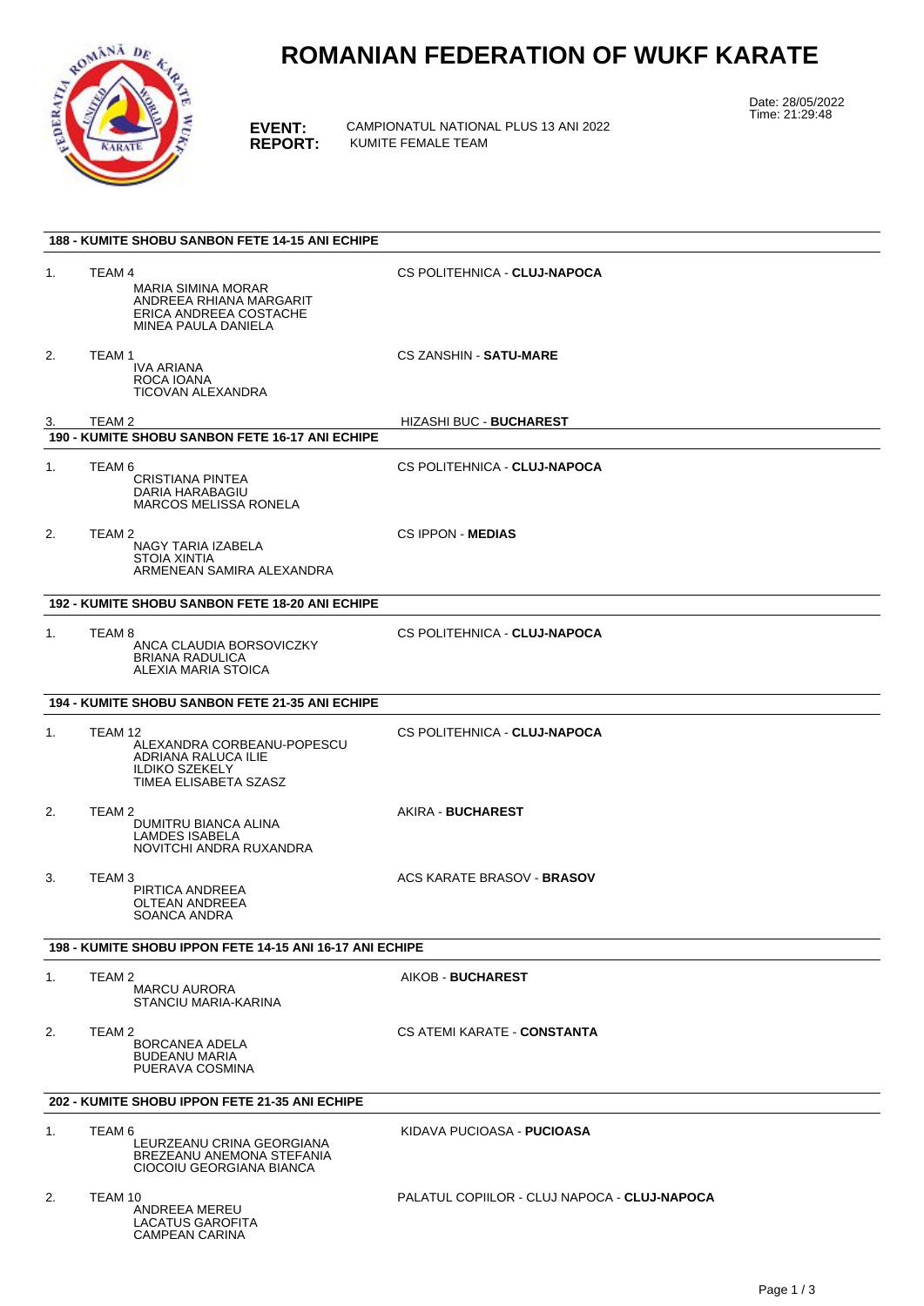

# **ROMANIAN FEDERATION OF WUKF KARATE**

**EVENT:** CAMPIONATUL NATIONAL PLUS 13 ANI 2022 **REPORT:** KUMITE FEMALE TEAM

Date: 28/05/2022 Time: 21:29:48

| <b>188 - KUMITE SHOBU SANBON FETE 14-15 ANI ECHIPE</b>   |                                                                                                                 |                                              |  |  |
|----------------------------------------------------------|-----------------------------------------------------------------------------------------------------------------|----------------------------------------------|--|--|
| 1.                                                       | TEAM 4<br><b>MARIA SIMINA MORAR</b><br>ANDREEA RHIANA MARGARIT<br>ERICA ANDREEA COSTACHE<br>MINEA PAULA DANIELA | CS POLITEHNICA - CLUJ-NAPOCA                 |  |  |
| 2.                                                       | TEAM 1<br>IVA ARIANA<br>ROCA IOANA<br>TICOVAN ALEXANDRA                                                         | <b>CS ZANSHIN - SATU-MARE</b>                |  |  |
| 3.                                                       | TEAM 2<br>190 - KUMITE SHOBU SANBON FETE 16-17 ANI ECHIPE                                                       | <b>HIZASHI BUC - BUCHAREST</b>               |  |  |
|                                                          |                                                                                                                 |                                              |  |  |
| 1.                                                       | TEAM 6<br><b>CRISTIANA PINTEA</b><br>DARIA HARABAGIU<br><b>MARCOS MELISSA RONELA</b>                            | CS POLITEHNICA - CLUJ-NAPOCA                 |  |  |
| 2.                                                       | TEAM 2<br>NAGY TARIA IZABELA<br>STOIA XINTIA<br>ARMENEAN SAMIRA ALEXANDRA                                       | <b>CS IPPON - MEDIAS</b>                     |  |  |
|                                                          | 192 - KUMITE SHOBU SANBON FETE 18-20 ANI ECHIPE                                                                 |                                              |  |  |
| 1.                                                       | TEAM 8<br>ANCA CLAUDIA BORSOVICZKY<br><b>BRIANA RADULICA</b><br>ALEXIA MARIA STOICA                             | CS POLITEHNICA - CLUJ-NAPOCA                 |  |  |
| 194 - KUMITE SHOBU SANBON FETE 21-35 ANI ECHIPE          |                                                                                                                 |                                              |  |  |
| 1.                                                       | TEAM 12<br>ALEXANDRA CORBEANU-POPESCU<br>ADRIANA RALUCA ILIE<br><b>ILDIKO SZEKELY</b><br>TIMEA ELISABETA SZASZ  | CS POLITEHNICA - CLUJ-NAPOCA                 |  |  |
| 2.                                                       | TEAM 2<br>DUMITRU BIANCA ALINA<br><b>LAMDES ISABELA</b><br>NOVITCHI ANDRA RUXANDRA                              | AKIRA - BUCHAREST                            |  |  |
| 3.                                                       | TEAM 3<br>PIRTICA ANDREEA<br><b>OLTEAN ANDREEA</b><br><b>SOANCA ANDRA</b>                                       | ACS KARATE BRASOV - BRASOV                   |  |  |
| 198 - KUMITE SHOBU IPPON FETE 14-15 ANI 16-17 ANI ECHIPE |                                                                                                                 |                                              |  |  |
| 1.                                                       | TEAM 2<br><b>MARCU AURORA</b><br>STANCIU MARIA-KARINA                                                           | AIKOB - BUCHAREST                            |  |  |
| 2.                                                       | TEAM 2<br>BORCANEA ADELA<br><b>BUDEANU MARIA</b><br>PUERAVA COSMINA                                             | CS ATEMI KARATE - CONSTANTA                  |  |  |
| 202 - KUMITE SHOBU IPPON FETE 21-35 ANI ECHIPE           |                                                                                                                 |                                              |  |  |
| 1.                                                       | TEAM 6<br>LEURZEANU CRINA GEORGIANA<br>BREZEANU ANEMONA STEFANIA<br>CIOCOIU GEORGIANA BIANCA                    | KIDAVA PUCIOASA - <b>PUCIOASA</b>            |  |  |
| 2.                                                       | TEAM 10<br>ANDREEA MEREU<br>LACATUS GAROFITA<br>CAMPEAN CARINA                                                  | PALATUL COPIILOR - CLUJ NAPOCA - CLUJ-NAPOCA |  |  |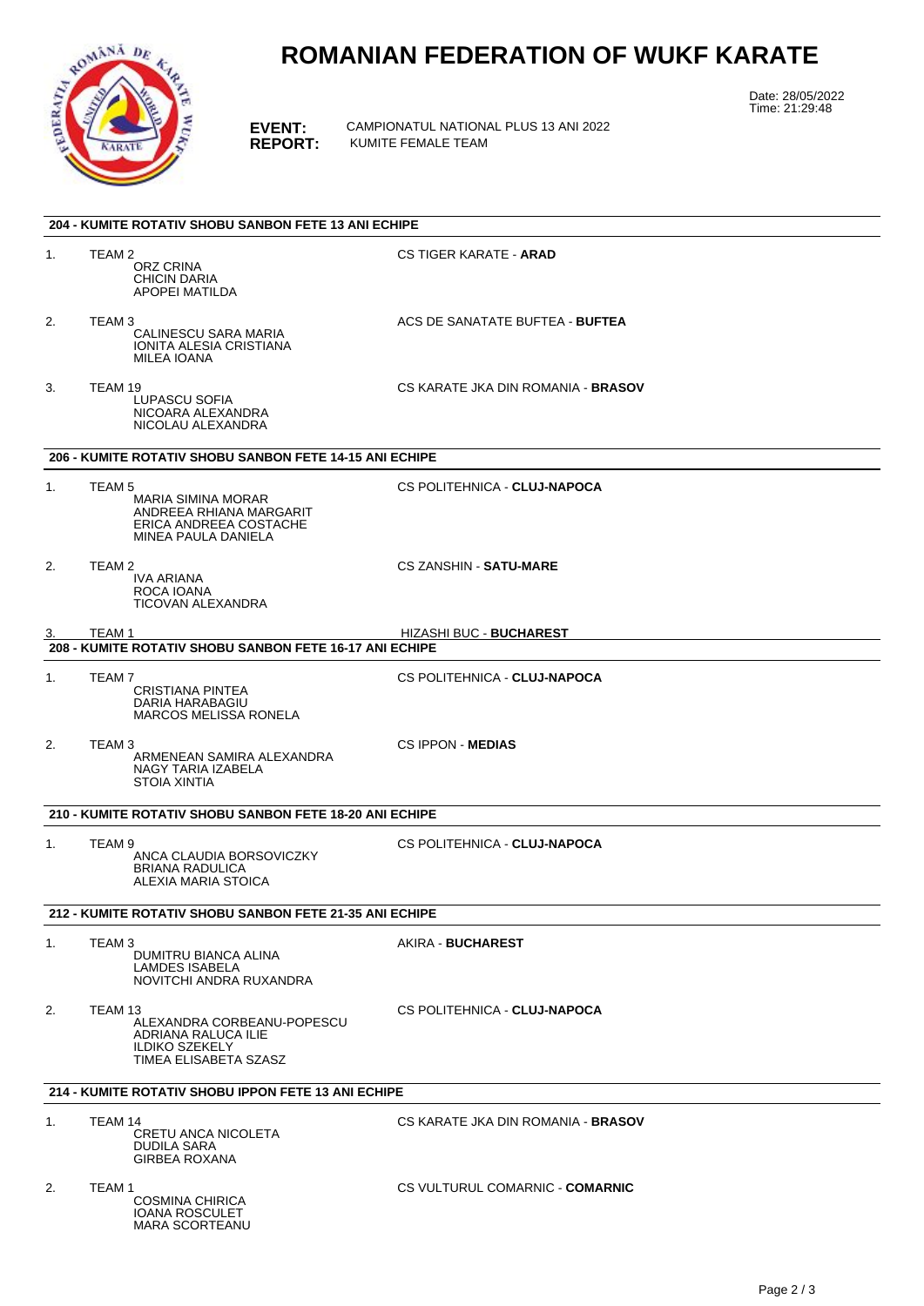

# **ROMANIAN FEDERATION OF WUKF KARATE**

**EVENT:** CAMPIONATUL NATIONAL PLUS 13 ANI 2022 **REPORT:** KUMITE FEMALE TEAM

Date: 28/05/2022 Time: 21:29:48

|    | <b>204 - KUMITE ROTATIV SHOBU SANBON FETE 13 ANI ECHIPE</b>                                                         |                                           |
|----|---------------------------------------------------------------------------------------------------------------------|-------------------------------------------|
| 1. | TEAM 2<br>ORZ CRINA<br><b>CHICIN DARIA</b><br>APOPEI MATILDA                                                        | <b>CS TIGER KARATE - ARAD</b>             |
| 2. | TEAM 3<br>CALINESCU SARA MARIA<br>IONITA ALESIA CRISTIANA<br>MILEA IOANA                                            | ACS DE SANATATE BUFTEA - BUFTEA           |
| 3. | TEAM 19<br>LUPASCU SOFIA<br>NICOARA ALEXANDRA<br>NICOLAU ALEXANDRA                                                  | CS KARATE JKA DIN ROMANIA - BRASOV        |
|    | 206 - KUMITE ROTATIV SHOBU SANBON FETE 14-15 ANI ECHIPE                                                             |                                           |
| 1. | TEAM <sub>5</sub><br>MARIA SIMINA MORAR<br>ANDREEA RHIANA MARGARIT<br>ERICA ANDREEA COSTACHE<br>MINEA PAULA DANIELA | CS POLITEHNICA - CLUJ-NAPOCA              |
| 2. | TEAM 2<br><b>IVA ARIANA</b><br>ROCA IOANA<br><b>TICOVAN ALEXANDRA</b>                                               | <b>CS ZANSHIN - SATU-MARE</b>             |
| 3. | TEAM 1                                                                                                              | <b>HIZASHI BUC - BUCHAREST</b>            |
|    | 208 - KUMITE ROTATIV SHOBU SANBON FETE 16-17 ANI ECHIPE                                                             |                                           |
| 1. | TEAM 7<br><b>CRISTIANA PINTEA</b><br>DARIA HARABAGIU<br><b>MARCOS MELISSA RONELA</b>                                | CS POLITEHNICA - CLUJ-NAPOCA              |
| 2. | TEAM 3<br>ARMENEAN SAMIRA ALEXANDRA<br>NAGY TARIA IZABELA<br>STOIA XINTIA                                           | <b>CS IPPON MEDIAS</b>                    |
|    | 210 - KUMITE ROTATIV SHOBU SANBON FETE 18-20 ANI ECHIPE                                                             |                                           |
| 1. | TEAM 9<br>ANCA CLAUDIA BORSOVICZKY<br><b>BRIANA RADULICA</b><br>ALEXIA MARIA STOICA                                 | CS POLITEHNICA - CLUJ-NAPOCA              |
|    | 212 - KUMITE ROTATIV SHOBU SANBON FETE 21-35 ANI ECHIPE                                                             |                                           |
| 1. | TEAM 3<br>DUMITRU BIANCA ALINA<br><b>LAMDES ISABELA</b><br>NOVITCHI ANDRA RUXANDRA                                  | AKIRA - BUCHAREST                         |
| 2. | TEAM 13<br>ALEXANDRA CORBEANU-POPESCU<br>ADRIANA RALUCA ILIE<br><b>ILDIKO SZEKELY</b><br>TIMEA ELISABETA SZASZ      | CS POLITEHNICA - CLUJ-NAPOCA              |
|    | 214 - KUMITE ROTATIV SHOBU IPPON FETE 13 ANI ECHIPE                                                                 |                                           |
| 1. | TEAM 14<br>CRETU ANCA NICOLETA<br>DUDILA SARA<br><b>GIRBEA ROXANA</b>                                               | CS KARATE JKA DIN ROMANIA - <b>BRASOV</b> |
| 2. | TEAM 1<br><b>COSMINA CHIRICA</b><br><b>IOANA ROSCULET</b><br><b>MARA SCORTEANU</b>                                  | CS VULTURUL COMARNIC - COMARNIC           |